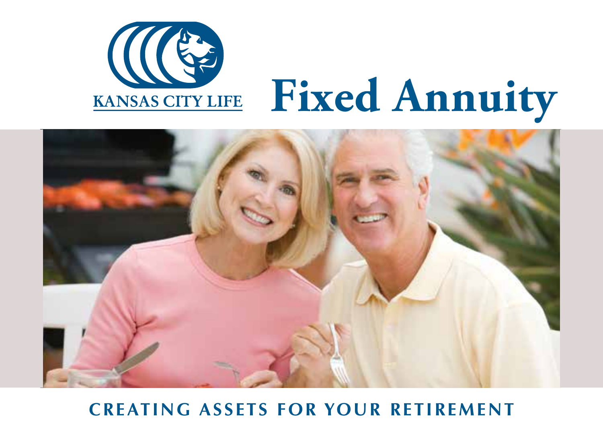

## **Fixed Annuity**



## **CREATING ASSETS FOR YOUR RETIREMENT**